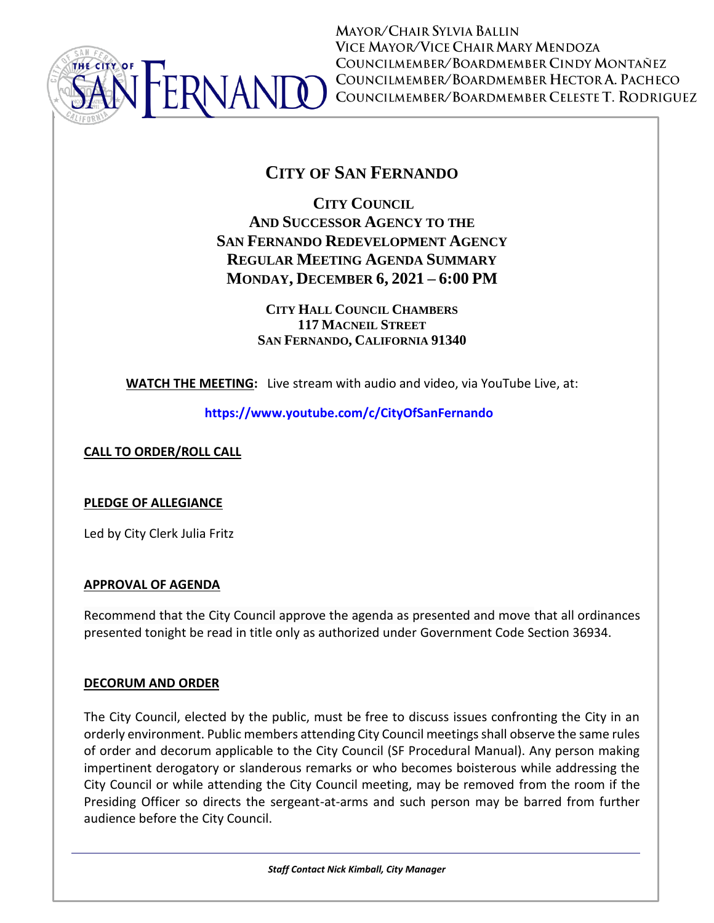

**MAYOR/CHAIR SYLVIA BALLIN** VICE MAYOR/VICE CHAIR MARY MENDOZA COUNCILMEMBER/BOARDMEMBER CINDY MONTAÑEZ COUNCILMEMBER/BOARDMEMBER HECTOR A. PACHECO COUNCILMEMBER/BOARDMEMBER CELESTE T. RODRIGUEZ

# **CITY OF SAN FERNANDO**

**CITY COUNCIL AND SUCCESSOR AGENCY TO THE SAN FERNANDO REDEVELOPMENT AGENCY REGULAR MEETING AGENDA SUMMARY MONDAY, DECEMBER 6, 2021 – 6:00 PM**

> **CITY HALL COUNCIL CHAMBERS 117 MACNEIL STREET SAN FERNANDO, CALIFORNIA 91340**

**WATCH THE MEETING:** Live stream with audio and video, via YouTube Live, at:

**<https://www.youtube.com/c/CityOfSanFernando>**

**CALL TO ORDER/ROLL CALL**

### **PLEDGE OF ALLEGIANCE**

Led by City Clerk Julia Fritz

### **APPROVAL OF AGENDA**

Recommend that the City Council approve the agenda as presented and move that all ordinances presented tonight be read in title only as authorized under Government Code Section 36934.

### **DECORUM AND ORDER**

The City Council, elected by the public, must be free to discuss issues confronting the City in an orderly environment. Public members attending City Council meetings shall observe the same rules of order and decorum applicable to the City Council (SF Procedural Manual). Any person making impertinent derogatory or slanderous remarks or who becomes boisterous while addressing the City Council or while attending the City Council meeting, may be removed from the room if the Presiding Officer so directs the sergeant-at-arms and such person may be barred from further audience before the City Council.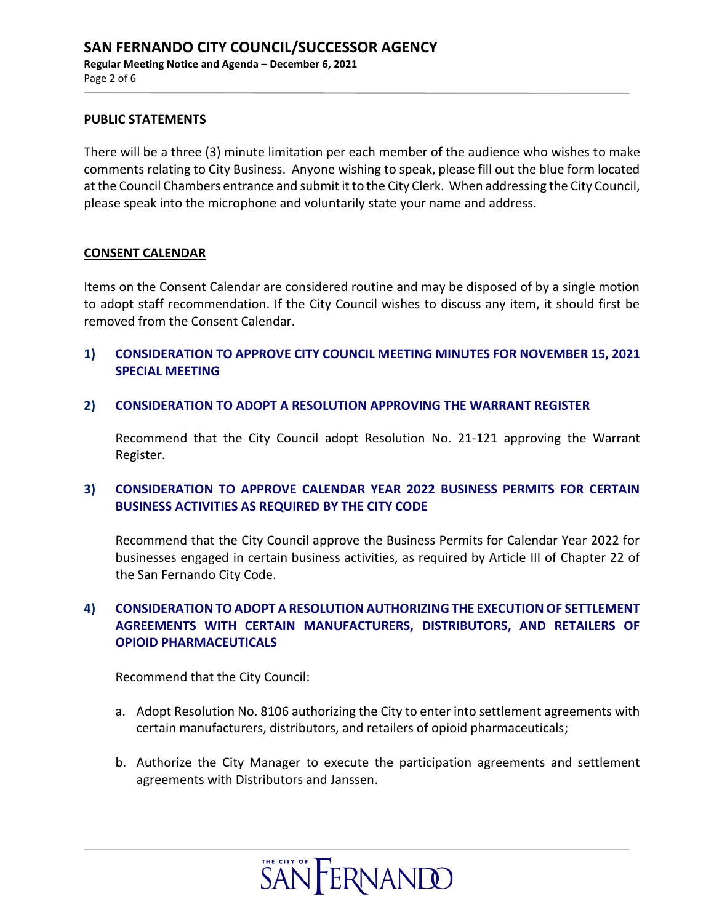#### **PUBLIC STATEMENTS**

There will be a three (3) minute limitation per each member of the audience who wishes to make comments relating to City Business. Anyone wishing to speak, please fill out the blue form located at the Council Chambers entrance and submit it to the City Clerk. When addressing the City Council, please speak into the microphone and voluntarily state your name and address.

#### **CONSENT CALENDAR**

Items on the Consent Calendar are considered routine and may be disposed of by a single motion to adopt staff recommendation. If the City Council wishes to discuss any item, it should first be removed from the Consent Calendar.

- **1) CONSIDERATION TO APPROVE CITY COUNCIL MEETING MINUTES FOR NOVEMBER 15, 2021 SPECIAL MEETING**
- **2) CONSIDERATION TO ADOPT A RESOLUTION APPROVING THE WARRANT REGISTER**

Recommend that the City Council adopt Resolution No. 21-121 approving the Warrant Register.

### **3) CONSIDERATION TO APPROVE CALENDAR YEAR 2022 BUSINESS PERMITS FOR CERTAIN BUSINESS ACTIVITIES AS REQUIRED BY THE CITY CODE**

Recommend that the City Council approve the Business Permits for Calendar Year 2022 for businesses engaged in certain business activities, as required by Article III of Chapter 22 of the San Fernando City Code.

## **4) CONSIDERATION TO ADOPT A RESOLUTION AUTHORIZING THE EXECUTION OF SETTLEMENT AGREEMENTS WITH CERTAIN MANUFACTURERS, DISTRIBUTORS, AND RETAILERS OF OPIOID PHARMACEUTICALS**

Recommend that the City Council:

- a. Adopt Resolution No. 8106 authorizing the City to enter into settlement agreements with certain manufacturers, distributors, and retailers of opioid pharmaceuticals;
- b. Authorize the City Manager to execute the participation agreements and settlement agreements with Distributors and Janssen.

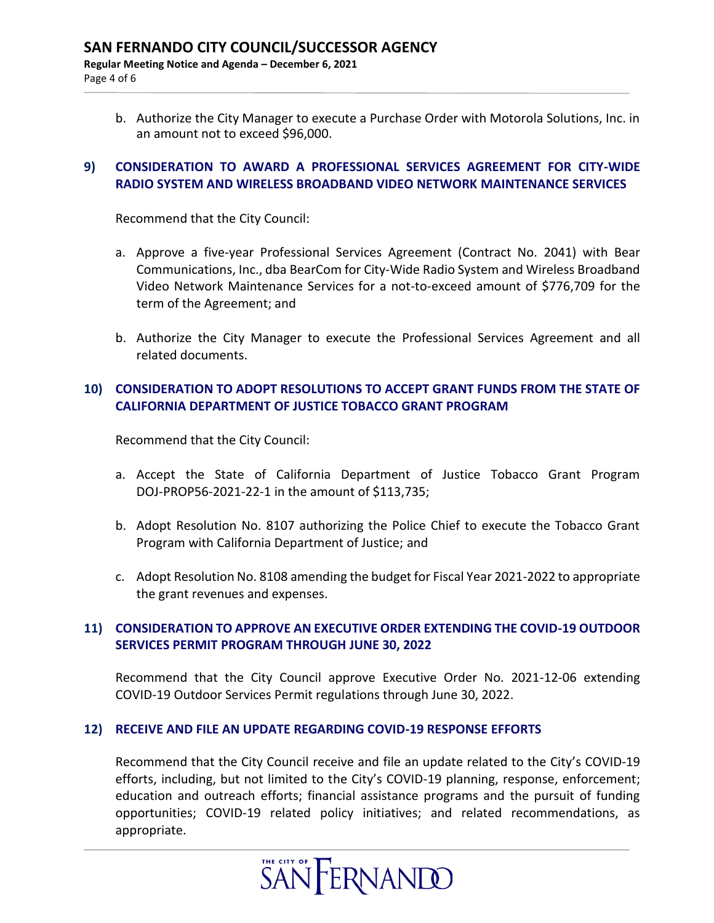b. Authorize the City Manager to execute a Purchase Order with Motorola Solutions, Inc. in an amount not to exceed \$96,000.

### **9) CONSIDERATION TO AWARD A PROFESSIONAL SERVICES AGREEMENT FOR CITY-WIDE RADIO SYSTEM AND WIRELESS BROADBAND VIDEO NETWORK MAINTENANCE SERVICES**

Recommend that the City Council:

- a. Approve a five-year Professional Services Agreement (Contract No. 2041) with Bear Communications, Inc., dba BearCom for City-Wide Radio System and Wireless Broadband Video Network Maintenance Services for a not-to-exceed amount of \$776,709 for the term of the Agreement; and
- b. Authorize the City Manager to execute the Professional Services Agreement and all related documents.

### **10) CONSIDERATION TO ADOPT RESOLUTIONS TO ACCEPT GRANT FUNDS FROM THE STATE OF CALIFORNIA DEPARTMENT OF JUSTICE TOBACCO GRANT PROGRAM**

Recommend that the City Council:

- a. Accept the State of California Department of Justice Tobacco Grant Program DOJ-PROP56-2021-22-1 in the amount of \$113,735;
- b. Adopt Resolution No. 8107 authorizing the Police Chief to execute the Tobacco Grant Program with California Department of Justice; and
- c. Adopt Resolution No. 8108 amending the budget for Fiscal Year 2021-2022 to appropriate the grant revenues and expenses.

### **11) CONSIDERATION TO APPROVE AN EXECUTIVE ORDER EXTENDING THE COVID-19 OUTDOOR SERVICES PERMIT PROGRAM THROUGH JUNE 30, 2022**

Recommend that the City Council approve Executive Order No. 2021-12-06 extending COVID-19 Outdoor Services Permit regulations through June 30, 2022.

#### **12) RECEIVE AND FILE AN UPDATE REGARDING COVID-19 RESPONSE EFFORTS**

Recommend that the City Council receive and file an update related to the City's COVID-19 efforts, including, but not limited to the City's COVID-19 planning, response, enforcement; education and outreach efforts; financial assistance programs and the pursuit of funding opportunities; COVID-19 related policy initiatives; and related recommendations, as appropriate.

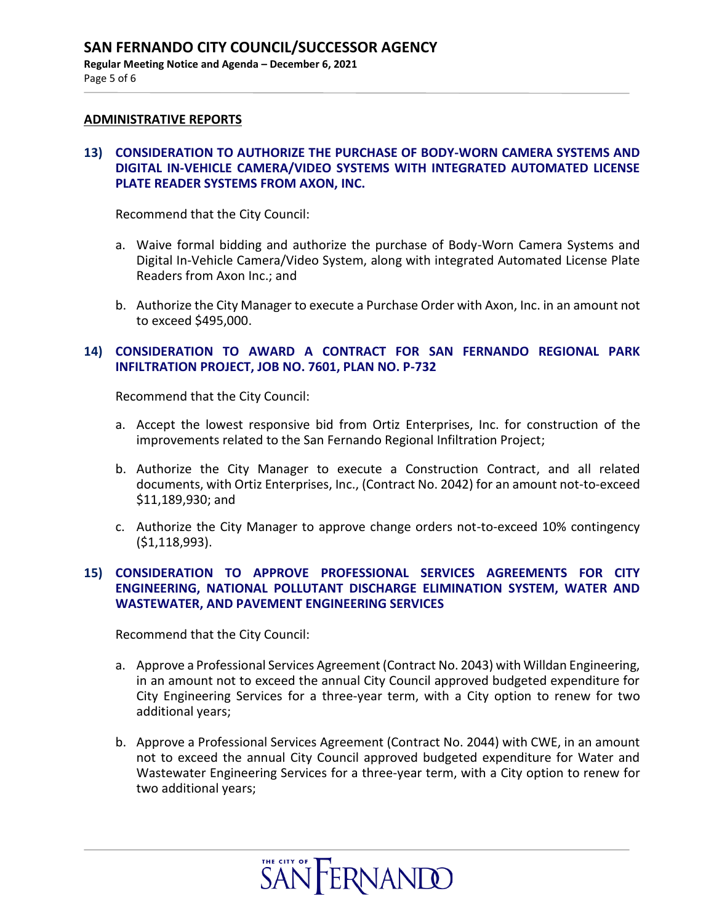#### **ADMINISTRATIVE REPORTS**

#### **13) CONSIDERATION TO AUTHORIZE THE PURCHASE OF BODY-WORN CAMERA SYSTEMS AND DIGITAL IN-VEHICLE CAMERA/VIDEO SYSTEMS WITH INTEGRATED AUTOMATED LICENSE PLATE READER SYSTEMS FROM AXON, INC.**

Recommend that the City Council:

- a. Waive formal bidding and authorize the purchase of Body-Worn Camera Systems and Digital In-Vehicle Camera/Video System, along with integrated Automated License Plate Readers from Axon Inc.; and
- b. Authorize the City Manager to execute a Purchase Order with Axon, Inc. in an amount not to exceed \$495,000.

#### **14) CONSIDERATION TO AWARD A CONTRACT FOR SAN FERNANDO REGIONAL PARK INFILTRATION PROJECT, JOB NO. 7601, PLAN NO. P-732**

Recommend that the City Council:

- a. Accept the lowest responsive bid from Ortiz Enterprises, Inc. for construction of the improvements related to the San Fernando Regional Infiltration Project;
- b. Authorize the City Manager to execute a Construction Contract, and all related documents, with Ortiz Enterprises, Inc., (Contract No. 2042) for an amount not-to-exceed \$11,189,930; and
- c. Authorize the City Manager to approve change orders not-to-exceed 10% contingency (\$1,118,993).

#### **15) CONSIDERATION TO APPROVE PROFESSIONAL SERVICES AGREEMENTS FOR CITY ENGINEERING, NATIONAL POLLUTANT DISCHARGE ELIMINATION SYSTEM, WATER AND WASTEWATER, AND PAVEMENT ENGINEERING SERVICES**

Recommend that the City Council:

- a. Approve a Professional Services Agreement (Contract No. 2043) with Willdan Engineering, in an amount not to exceed the annual City Council approved budgeted expenditure for City Engineering Services for a three-year term, with a City option to renew for two additional years;
- b. Approve a Professional Services Agreement (Contract No. 2044) with CWE, in an amount not to exceed the annual City Council approved budgeted expenditure for Water and Wastewater Engineering Services for a three-year term, with a City option to renew for two additional years;